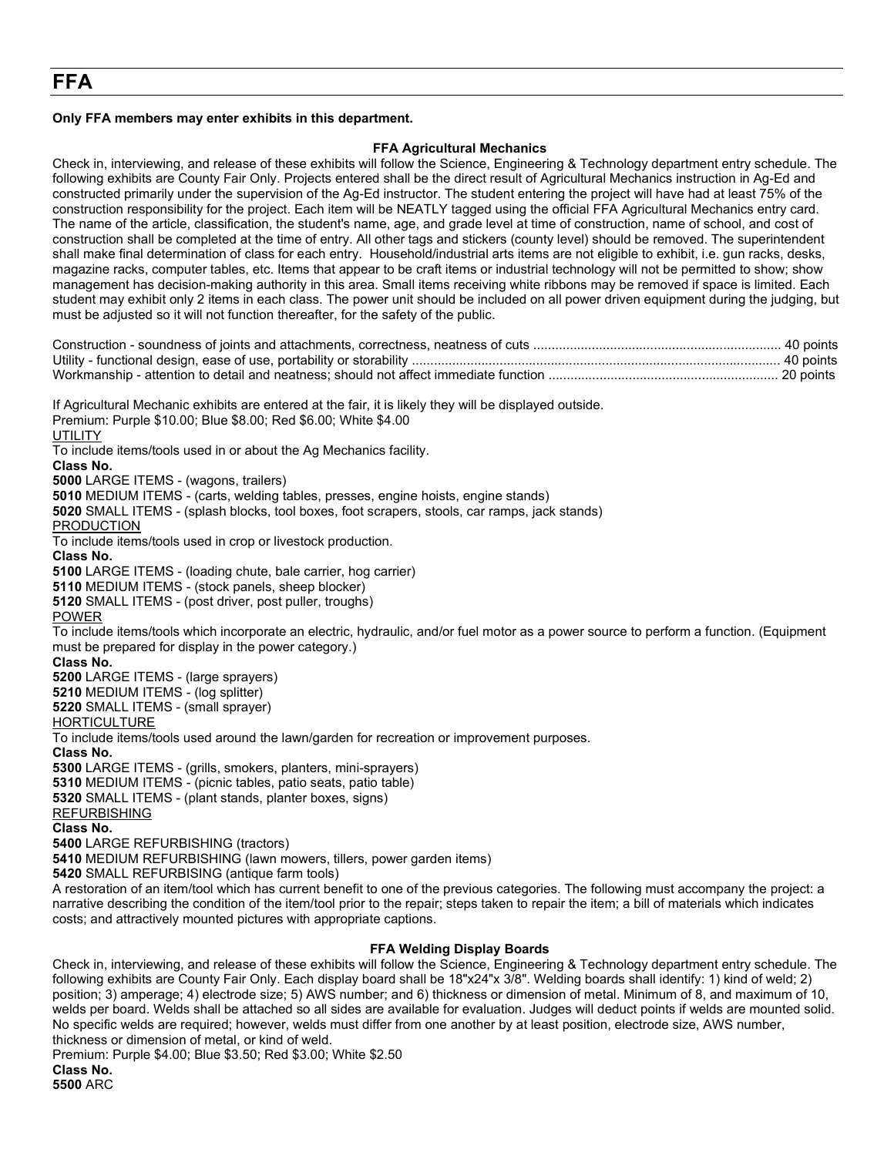# **Only FFA members may enter exhibits in this department.**

# **FFA Agricultural Mechanics**

Check in, interviewing, and release of these exhibits will follow the Science, Engineering & Technology department entry schedule. The following exhibits are County Fair Only. Projects entered shall be the direct result of Agricultural Mechanics instruction in Ag-Ed and constructed primarily under the supervision of the Ag-Ed instructor. The student entering the project will have had at least 75% of the construction responsibility for the project. Each item will be NEATLY tagged using the official FFA Agricultural Mechanics entry card. The name of the article, classification, the student's name, age, and grade level at time of construction, name of school, and cost of construction shall be completed at the time of entry. All other tags and stickers (county level) should be removed. The superintendent shall make final determination of class for each entry. Household/industrial arts items are not eligible to exhibit, i.e. gun racks, desks, magazine racks, computer tables, etc. Items that appear to be craft items or industrial technology will not be permitted to show; show management has decision-making authority in this area. Small items receiving white ribbons may be removed if space is limited. Each student may exhibit only 2 items in each class. The power unit should be included on all power driven equipment during the judging, but must be adjusted so it will not function thereafter, for the safety of the public.

Premium: Purple \$10.00; Blue \$8.00; Red \$6.00; White \$4.00 **UTILITY** To include items/tools used in or about the Ag Mechanics facility. **Class No. 5000** LARGE ITEMS - (wagons, trailers) **5010** MEDIUM ITEMS - (carts, welding tables, presses, engine hoists, engine stands) **5020** SMALL ITEMS - (splash blocks, tool boxes, foot scrapers, stools, car ramps, jack stands) PRODUCTION To include items/tools used in crop or livestock production. **Class No. 5100** LARGE ITEMS - (loading chute, bale carrier, hog carrier) **5110** MEDIUM ITEMS - (stock panels, sheep blocker) **5120** SMALL ITEMS - (post driver, post puller, troughs) POWER To include items/tools which incorporate an electric, hydraulic, and/or fuel motor as a power source to perform a function. (Equipment must be prepared for display in the power category.) **Class No. 5200** LARGE ITEMS - (large sprayers) **5210** MEDIUM ITEMS - (log splitter) **5220** SMALL ITEMS - (small sprayer) **HORTICULTURE** To include items/tools used around the lawn/garden for recreation or improvement purposes. **Class No. 5300** LARGE ITEMS - (grills, smokers, planters, mini-sprayers) **5310** MEDIUM ITEMS - (picnic tables, patio seats, patio table) **5320** SMALL ITEMS - (plant stands, planter boxes, signs) REFURBISHING **Class No. 5400** LARGE REFURBISHING (tractors) **5410** MEDIUM REFURBISHING (lawn mowers, tillers, power garden items) **5420** SMALL REFURBISING (antique farm tools) A restoration of an item/tool which has current benefit to one of the previous categories. The following must accompany the project: a narrative describing the condition of the item/tool prior to the repair; steps taken to repair the item; a bill of materials which indicates costs; and attractively mounted pictures with appropriate captions.

If Agricultural Mechanic exhibits are entered at the fair, it is likely they will be displayed outside.

## **FFA Welding Display Boards**

Check in, interviewing, and release of these exhibits will follow the Science, Engineering & Technology department entry schedule. The following exhibits are County Fair Only. Each display board shall be 18"x24"x 3/8". Welding boards shall identify: 1) kind of weld; 2) position; 3) amperage; 4) electrode size; 5) AWS number; and 6) thickness or dimension of metal. Minimum of 8, and maximum of 10, welds per board. Welds shall be attached so all sides are available for evaluation. Judges will deduct points if welds are mounted solid. No specific welds are required; however, welds must differ from one another by at least position, electrode size, AWS number, thickness or dimension of metal, or kind of weld.

Premium: Purple \$4.00; Blue \$3.50; Red \$3.00; White \$2.50

**Class No. 5500** ARC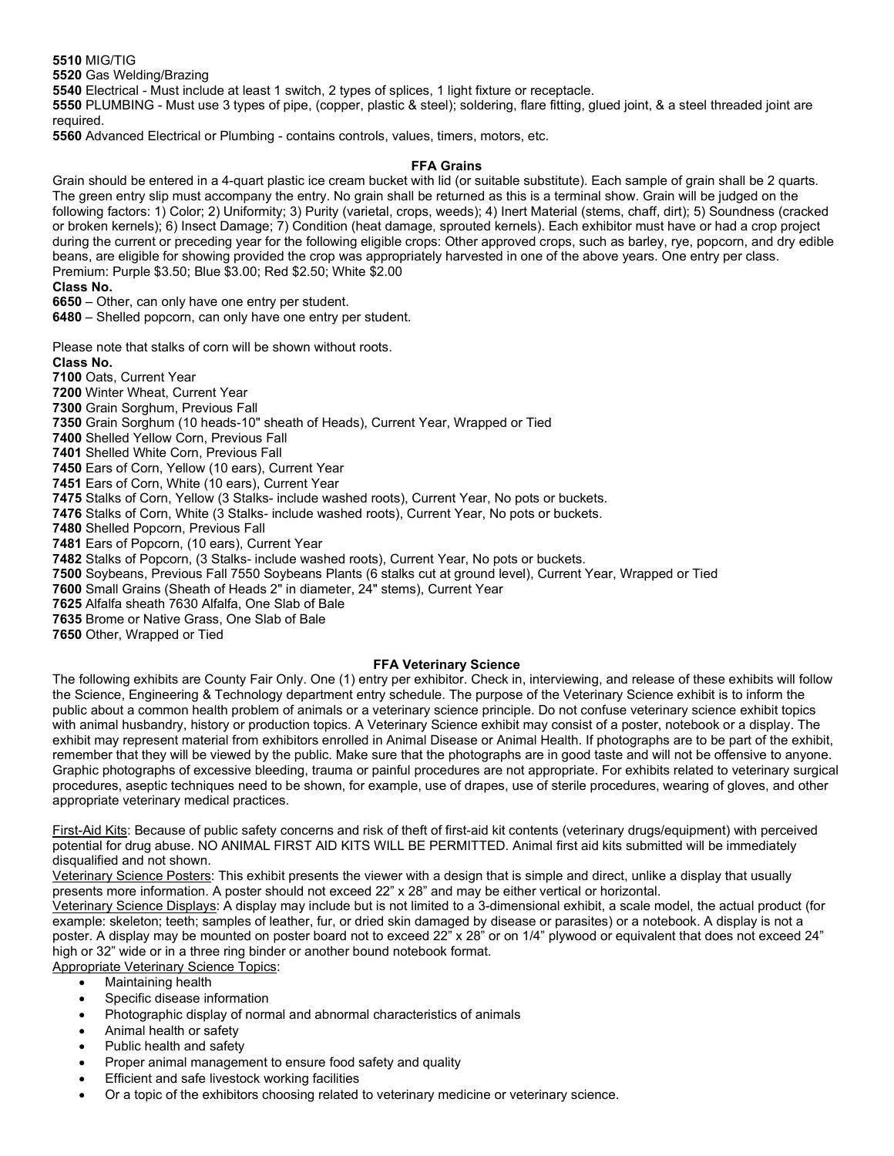**5510** MIG/TIG

**5520** Gas Welding/Brazing

**5540** Electrical - Must include at least 1 switch, 2 types of splices, 1 light fixture or receptacle.

**5550** PLUMBING - Must use 3 types of pipe, (copper, plastic & steel); soldering, flare fitting, glued joint, & a steel threaded joint are required.

**5560** Advanced Electrical or Plumbing - contains controls, values, timers, motors, etc.

# **FFA Grains**

Grain should be entered in a 4-quart plastic ice cream bucket with lid (or suitable substitute). Each sample of grain shall be 2 quarts. The green entry slip must accompany the entry. No grain shall be returned as this is a terminal show. Grain will be judged on the following factors: 1) Color; 2) Uniformity; 3) Purity (varietal, crops, weeds); 4) Inert Material (stems, chaff, dirt); 5) Soundness (cracked or broken kernels); 6) Insect Damage; 7) Condition (heat damage, sprouted kernels). Each exhibitor must have or had a crop project during the current or preceding year for the following eligible crops: Other approved crops, such as barley, rye, popcorn, and dry edible beans, are eligible for showing provided the crop was appropriately harvested in one of the above years. One entry per class. Premium: Purple \$3.50; Blue \$3.00; Red \$2.50; White \$2.00

### **Class No.**

**6650** – Other, can only have one entry per student.

**6480** – Shelled popcorn, can only have one entry per student.

Please note that stalks of corn will be shown without roots.

**Class No. 7100** Oats, Current Year

**7200** Winter Wheat, Current Year

**7300** Grain Sorghum, Previous Fall

**7350** Grain Sorghum (10 heads-10" sheath of Heads), Current Year, Wrapped or Tied

**7400** Shelled Yellow Corn, Previous Fall

**7401** Shelled White Corn, Previous Fall

**7450** Ears of Corn, Yellow (10 ears), Current Year

**7451** Ears of Corn, White (10 ears), Current Year

**7475** Stalks of Corn, Yellow (3 Stalks- include washed roots), Current Year, No pots or buckets.

**7476** Stalks of Corn, White (3 Stalks- include washed roots), Current Year, No pots or buckets.

**7480** Shelled Popcorn, Previous Fall

**7481** Ears of Popcorn, (10 ears), Current Year

**7482** Stalks of Popcorn, (3 Stalks- include washed roots), Current Year, No pots or buckets.

**7500** Soybeans, Previous Fall 7550 Soybeans Plants (6 stalks cut at ground level), Current Year, Wrapped or Tied

**7600** Small Grains (Sheath of Heads 2" in diameter, 24" stems), Current Year

**7625** Alfalfa sheath 7630 Alfalfa, One Slab of Bale

**7635** Brome or Native Grass, One Slab of Bale

**7650** Other, Wrapped or Tied

## **FFA Veterinary Science**

The following exhibits are County Fair Only. One (1) entry per exhibitor. Check in, interviewing, and release of these exhibits will follow the Science, Engineering & Technology department entry schedule. The purpose of the Veterinary Science exhibit is to inform the public about a common health problem of animals or a veterinary science principle. Do not confuse veterinary science exhibit topics with animal husbandry, history or production topics. A Veterinary Science exhibit may consist of a poster, notebook or a display. The exhibit may represent material from exhibitors enrolled in Animal Disease or Animal Health. If photographs are to be part of the exhibit, remember that they will be viewed by the public. Make sure that the photographs are in good taste and will not be offensive to anyone. Graphic photographs of excessive bleeding, trauma or painful procedures are not appropriate. For exhibits related to veterinary surgical procedures, aseptic techniques need to be shown, for example, use of drapes, use of sterile procedures, wearing of gloves, and other appropriate veterinary medical practices.

First-Aid Kits: Because of public safety concerns and risk of theft of first-aid kit contents (veterinary drugs/equipment) with perceived potential for drug abuse. NO ANIMAL FIRST AID KITS WILL BE PERMITTED. Animal first aid kits submitted will be immediately disqualified and not shown.

Veterinary Science Posters: This exhibit presents the viewer with a design that is simple and direct, unlike a display that usually presents more information. A poster should not exceed 22" x 28" and may be either vertical or horizontal.

Veterinary Science Displays: A display may include but is not limited to a 3-dimensional exhibit, a scale model, the actual product (for example: skeleton; teeth; samples of leather, fur, or dried skin damaged by disease or parasites) or a notebook. A display is not a poster. A display may be mounted on poster board not to exceed 22" x 28" or on 1/4" plywood or equivalent that does not exceed 24" high or 32" wide or in a three ring binder or another bound notebook format.

Appropriate Veterinary Science Topics:

- Maintaining health
- Specific disease information
- Photographic display of normal and abnormal characteristics of animals
- Animal health or safety
- Public health and safety
- Proper animal management to ensure food safety and quality
- Efficient and safe livestock working facilities
- Or a topic of the exhibitors choosing related to veterinary medicine or veterinary science.